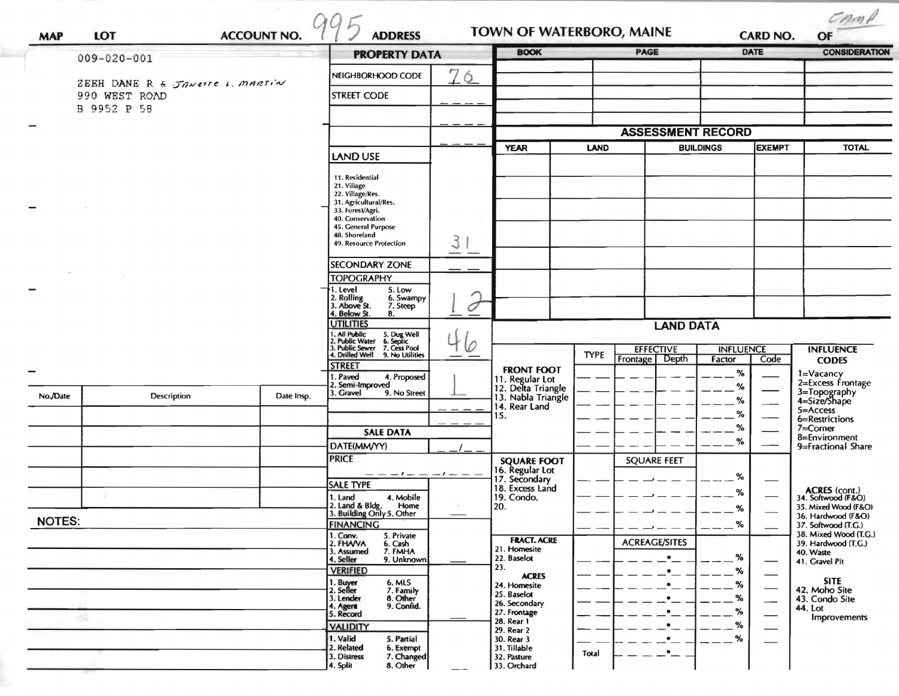| <b>MAP</b>                                       | LOT         | <b>ACCOUNT NO.</b> | <b>ADDRESS</b>                                                                                  |              | TOWN OF WATERBORO, MAINE                                    |             | <b>CARD NO.</b>                   |                            | $C$ <i>n</i> $\land$<br>OF |                                           |
|--------------------------------------------------|-------------|--------------------|-------------------------------------------------------------------------------------------------|--------------|-------------------------------------------------------------|-------------|-----------------------------------|----------------------------|----------------------------|-------------------------------------------|
| $009 - 020 - 001$                                |             |                    | <b>PROPERTY DATA</b>                                                                            |              | <b>BOOK</b>                                                 | <b>PAGE</b> |                                   |                            | DATE                       | <b>CONSIDERATION</b>                      |
|                                                  |             |                    | NEIGHBORHOOD CODE                                                                               | 76           |                                                             |             |                                   |                            |                            |                                           |
| ZEEH DANE R & JANETTE L. MARTIN<br>990 WEST ROAD |             |                    | <b>STREET CODE</b>                                                                              |              |                                                             |             |                                   |                            |                            |                                           |
|                                                  | B 9952 P 58 |                    |                                                                                                 |              |                                                             |             | <b>ASSESSMENT RECORD</b>          |                            |                            |                                           |
|                                                  |             |                    |                                                                                                 |              | <b>YEAR</b><br><b>LAND</b>                                  |             |                                   | EXEMPT<br><b>BUILDINGS</b> |                            | <b>TOTAL</b>                              |
|                                                  |             |                    | <b>LAND USE</b>                                                                                 |              |                                                             |             |                                   |                            |                            |                                           |
|                                                  |             |                    | 11. Residential                                                                                 |              |                                                             |             |                                   |                            |                            |                                           |
|                                                  |             |                    | 21. Village<br>22. Village/Res.                                                                 |              |                                                             |             |                                   |                            |                            |                                           |
|                                                  |             |                    | 31. Agricultural/Res.<br>33. Forest/Agri.                                                       |              |                                                             |             |                                   |                            |                            |                                           |
|                                                  |             |                    | 40. Conservation<br>45. General Purpose                                                         |              |                                                             |             |                                   |                            |                            |                                           |
|                                                  |             |                    | 48. Shoreland                                                                                   |              |                                                             |             |                                   |                            |                            |                                           |
|                                                  |             |                    | 49. Resource Protection                                                                         | З            |                                                             |             |                                   |                            |                            |                                           |
|                                                  |             |                    | <b>SECONDARY ZONE</b>                                                                           |              |                                                             |             |                                   |                            |                            |                                           |
|                                                  |             |                    | <b>TOPOGRAPHY</b><br>1. Level<br>5. Low                                                         |              |                                                             |             |                                   |                            |                            |                                           |
|                                                  |             |                    | 2. Rolling<br>3. Above St.<br>6. Swampy<br>7. Steep                                             |              |                                                             |             |                                   |                            |                            |                                           |
|                                                  |             |                    | 4. Below St.<br>8.                                                                              |              |                                                             |             |                                   |                            |                            |                                           |
|                                                  |             |                    | <b>UTILITIES</b>                                                                                |              | <b>LAND DATA</b>                                            |             |                                   |                            |                            |                                           |
|                                                  |             |                    | 1. All Public<br>2. Public Water<br>3. Public Sewer<br>5. Dug Well<br>6. Septic<br>7. Cess Pool | $\mathcal O$ |                                                             |             | <b>EFFECTIVE</b>                  | <b>INFLUENCE</b>           |                            | <b>INFLUENCE</b>                          |
|                                                  |             |                    | . Drilled Well<br>9. No Utilities<br><b>STREET</b>                                              |              |                                                             | <b>TYPE</b> | Depth<br>Frontage                 | Factor                     | Code                       | <b>CODES</b>                              |
|                                                  |             |                    | I. Paved<br>4. Proposed                                                                         |              | <b>FRONT FOOT</b>                                           |             |                                   | %                          |                            | 1=Vacancy<br>2=Excess Frontage            |
| No./Date                                         | Description | Date Insp.         | 2. Semi-Improved<br>3. Gravel<br>9. No Street                                                   |              | 11. Regular Lot<br>12. Delta Triangle<br>13. Nabla Triangle |             |                                   | %<br>%                     |                            | 3=Topography<br>4=Size/Shape              |
|                                                  |             |                    |                                                                                                 |              | 14. Rear Land<br>15.                                        |             |                                   | %                          |                            | $5 =$ Access                              |
|                                                  |             |                    | <b>SALE DATA</b>                                                                                |              |                                                             |             |                                   | %                          |                            | 6=Restrictions<br>7=Corner                |
|                                                  |             |                    | DATE(MM/YY)                                                                                     |              |                                                             |             |                                   | %                          |                            | 8=Environment<br>9=Fractional Share       |
|                                                  |             |                    | <b>PRICE</b>                                                                                    |              | <b>SQUARE FOOT</b>                                          |             | <b>SQUARE FEET</b>                |                            |                            |                                           |
|                                                  |             |                    | $-1$ $ -1$ $ -$                                                                                 |              | 16. Regular Lot<br>17. Secondary                            |             |                                   | $\%$                       |                            |                                           |
|                                                  |             |                    | <b>SALE TYPE</b>                                                                                |              | 18. Excess Land                                             |             |                                   | %                          |                            | ACRES (cont.)<br>34. Softwood (F&O)       |
|                                                  |             |                    | 1. Land<br>4. Mobile<br>2. Land & Bldg.<br>Home                                                 |              | 19. Condo.<br>20.                                           |             |                                   | %                          |                            | 35. Mixed Wood (F&O)                      |
| <b>NOTES:</b>                                    |             |                    | 3. Building Only 5. Other<br><b>FINANCING</b>                                                   |              |                                                             |             |                                   | $\%$                       |                            | 36. Hardwood (F&O)<br>37. Softwood (T.G.) |
|                                                  |             |                    | 1. Conv.<br>5. Private                                                                          |              | <b>FRACT. ACRE</b>                                          |             |                                   |                            |                            | 38. Mixed Wood (T.G.)                     |
|                                                  |             |                    | 2. FHAVA<br>6. Cash<br>7. FMHA<br>3. Assumed                                                    |              | 21. Homesite                                                |             | <b>ACREAGE/SITES</b><br>$\bullet$ |                            |                            | 39. Hardwood (T.G.)<br>40. Waste          |
|                                                  |             |                    | 4. Seller<br>9. Unknown<br><b>VERIFIED</b>                                                      |              | 22. Baselot<br>23.                                          |             | $\bullet$                         | %<br>%                     |                            | 41. Gravel Pit                            |
|                                                  |             |                    | 1. Buyer<br>2. Seller<br>6. MLS                                                                 |              | <b>ACRES</b><br>24. Homesite                                |             |                                   | %                          |                            | <b>SITE</b>                               |
|                                                  |             |                    | 7. Family<br>8. Other<br>3. Lender                                                              |              | 25. Baselot<br>26. Secondary                                |             |                                   | %                          | $\overline{\phantom{0}}$   | 42. Moho Site<br>43. Condo Site           |
| -36                                              |             |                    | 9. Confid.<br>4. Agent<br>5. Record                                                             |              | 27. Frontage                                                |             |                                   | %                          |                            | 44. Lot<br><b>Improvements</b>            |
|                                                  |             |                    | <b>VALIDITY</b>                                                                                 |              | 28. Rear 1<br>29. Rear 2                                    |             |                                   | %                          |                            |                                           |
|                                                  |             |                    | 1. Valid<br>5. Partial<br>2. Related<br>6. Exempt                                               |              | 30. Rear 3<br>31. Tillable                                  |             | $\bullet$                         | %                          |                            |                                           |
|                                                  |             |                    | 7. Changed<br>3. Distress<br>8. Other<br>4. Split                                               |              | 32. Pasture<br>33. Orchard                                  | Total       | _•_                               |                            |                            |                                           |